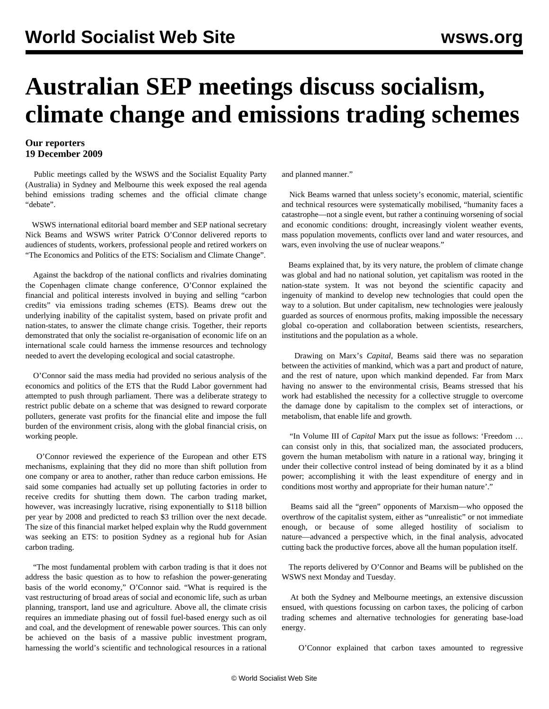## **Australian SEP meetings discuss socialism, climate change and emissions trading schemes**

## **Our reporters 19 December 2009**

 Public meetings called by the WSWS and the Socialist Equality Party (Australia) in Sydney and Melbourne this week exposed the real agenda behind emissions trading schemes and the official climate change "debate".

 WSWS international editorial board member and SEP national secretary Nick Beams and WSWS writer Patrick O'Connor delivered reports to audiences of students, workers, professional people and retired workers on "The Economics and Politics of the ETS: Socialism and Climate Change".

 Against the backdrop of the national conflicts and rivalries dominating the Copenhagen climate change conference, O'Connor explained the financial and political interests involved in buying and selling "carbon credits" via emissions trading schemes (ETS). Beams drew out the underlying inability of the capitalist system, based on private profit and nation-states, to answer the climate change crisis. Together, their reports demonstrated that only the socialist re-organisation of economic life on an international scale could harness the immense resources and technology needed to avert the developing ecological and social catastrophe.

 O'Connor said the mass media had provided no serious analysis of the economics and politics of the ETS that the Rudd Labor government had attempted to push through parliament. There was a deliberate strategy to restrict public debate on a scheme that was designed to reward corporate polluters, generate vast profits for the financial elite and impose the full burden of the environment crisis, along with the global financial crisis, on working people.

 O'Connor reviewed the experience of the European and other ETS mechanisms, explaining that they did no more than shift pollution from one company or area to another, rather than reduce carbon emissions. He said some companies had actually set up polluting factories in order to receive credits for shutting them down. The carbon trading market, however, was increasingly lucrative, rising exponentially to \$118 billion per year by 2008 and predicted to reach \$3 trillion over the next decade. The size of this financial market helped explain why the Rudd government was seeking an ETS: to position Sydney as a regional hub for Asian carbon trading.

 "The most fundamental problem with carbon trading is that it does not address the basic question as to how to refashion the power-generating basis of the world economy," O'Connor said. "What is required is the vast restructuring of broad areas of social and economic life, such as urban planning, transport, land use and agriculture. Above all, the climate crisis requires an immediate phasing out of fossil fuel-based energy such as oil and coal, and the development of renewable power sources. This can only be achieved on the basis of a massive public investment program, harnessing the world's scientific and technological resources in a rational

and planned manner."

 Nick Beams warned that unless society's economic, material, scientific and technical resources were systematically mobilised, "humanity faces a catastrophe—not a single event, but rather a continuing worsening of social and economic conditions: drought, increasingly violent weather events, mass population movements, conflicts over land and water resources, and wars, even involving the use of nuclear weapons."

 Beams explained that, by its very nature, the problem of climate change was global and had no national solution, yet capitalism was rooted in the nation-state system. It was not beyond the scientific capacity and ingenuity of mankind to develop new technologies that could open the way to a solution. But under capitalism, new technologies were jealously guarded as sources of enormous profits, making impossible the necessary global co-operation and collaboration between scientists, researchers, institutions and the population as a whole.

 Drawing on Marx's *Capital*, Beams said there was no separation between the activities of mankind, which was a part and product of nature, and the rest of nature, upon which mankind depended. Far from Marx having no answer to the environmental crisis, Beams stressed that his work had established the necessity for a collective struggle to overcome the damage done by capitalism to the complex set of interactions, or metabolism, that enable life and growth.

 "In Volume III of *Capital* Marx put the issue as follows: 'Freedom … can consist only in this, that socialized man, the associated producers, govern the human metabolism with nature in a rational way, bringing it under their collective control instead of being dominated by it as a blind power; accomplishing it with the least expenditure of energy and in conditions most worthy and appropriate for their human nature'."

 Beams said all the "green" opponents of Marxism—who opposed the overthrow of the capitalist system, either as "unrealistic" or not immediate enough, or because of some alleged hostility of socialism to nature—advanced a perspective which, in the final analysis, advocated cutting back the productive forces, above all the human population itself.

 The reports delivered by O'Connor and Beams will be published on the WSWS next Monday and Tuesday.

 At both the Sydney and Melbourne meetings, an extensive discussion ensued, with questions focussing on carbon taxes, the policing of carbon trading schemes and alternative technologies for generating base-load energy.

O'Connor explained that carbon taxes amounted to regressive